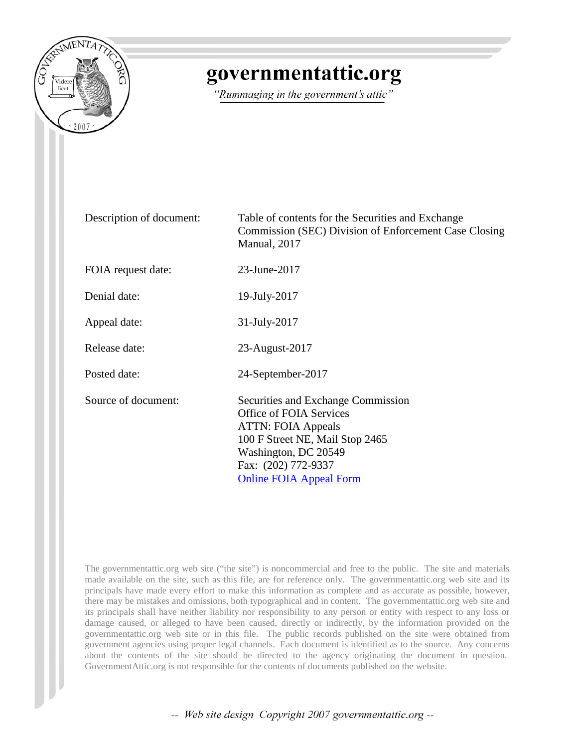

## governmentattic.org

"Rummaging in the government's attic"

| Description of document: | Table of contents for the Securities and Exchange<br>Commission (SEC) Division of Enforcement Case Closing<br>Manual, 2017                                                                                     |
|--------------------------|----------------------------------------------------------------------------------------------------------------------------------------------------------------------------------------------------------------|
| FOIA request date:       | 23-June-2017                                                                                                                                                                                                   |
| Denial date:             | 19-July-2017                                                                                                                                                                                                   |
| Appeal date:             | 31-July-2017                                                                                                                                                                                                   |
| Release date:            | 23-August-2017                                                                                                                                                                                                 |
| Posted date:             | 24-September-2017                                                                                                                                                                                              |
| Source of document:      | Securities and Exchange Commission<br>Office of FOIA Services<br><b>ATTN: FOIA Appeals</b><br>100 F Street NE, Mail Stop 2465<br>Washington, DC 20549<br>Fax: (202) 772-9337<br><b>Online FOIA Appeal Form</b> |

The governmentattic.org web site ("the site") is noncommercial and free to the public. The site and materials made available on the site, such as this file, are for reference only. The governmentattic.org web site and its principals have made every effort to make this information as complete and as accurate as possible, however, there may be mistakes and omissions, both typographical and in content. The governmentattic.org web site and its principals shall have neither liability nor responsibility to any person or entity with respect to any loss or damage caused, or alleged to have been caused, directly or indirectly, by the information provided on the governmentattic.org web site or in this file. The public records published on the site were obtained from government agencies using proper legal channels. Each document is identified as to the source. Any concerns about the contents of the site should be directed to the agency originating the document in question. GovernmentAttic.org is not responsible for the contents of documents published on the website.

-- Web site design Copyright 2007 governmentattic.org --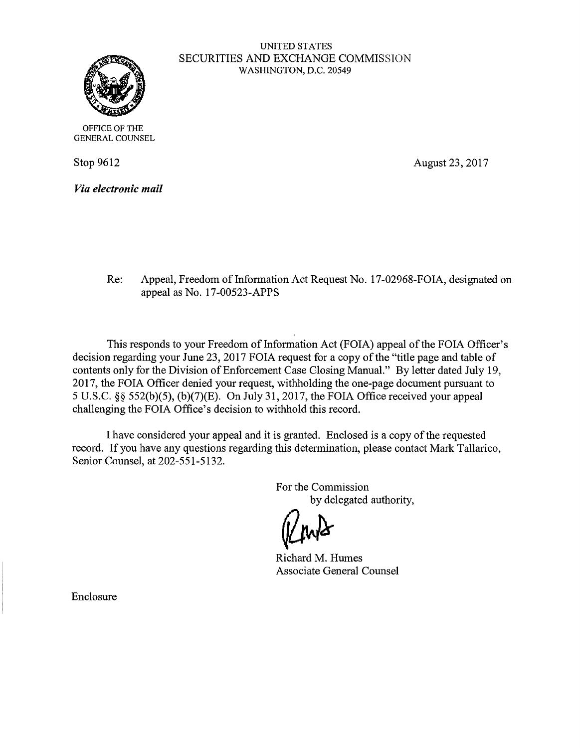

## UNITED STATES SECURITIES AND EXCHANGE COMMISSION WASHINGTON, D.C. 20549

OFFICE OF THE GENERAL COUNSEL

Stop 9612

*Via electronic mail* 

August 23, 2017

Re: Appeal, Freedom of Information Act Request No. 17-02968-FOIA, designated on appeal as No. 17-00523-APPS

This responds to your Freedom of Information Act (FOIA) appeal of the FOIA Officer's decision regarding your June 23, 2017 FOIA request for a copy of the "title page and table of contents only for the Division of Enforcement Case Closing Manual." By letter dated July 19, 2017, the FOIA Officer denied your request, withholding the one-page document pursuant to 5 U.S.C. §§ 552(b)(5), (b)(7)(E). On July 31, 2017, the FOIA Office received your appeal challenging the FOIA Office's decision to withhold this record.

I have considered your appeal and it is granted. Enclosed is a copy of the requested record. If you have any questions regarding this determination, please contact Mark Tallarico, Senior Counsel, at 202-551-5132.

> For the Commission by delegated authority,

Richard M. Humes

Associate General Counsel

Enclosure